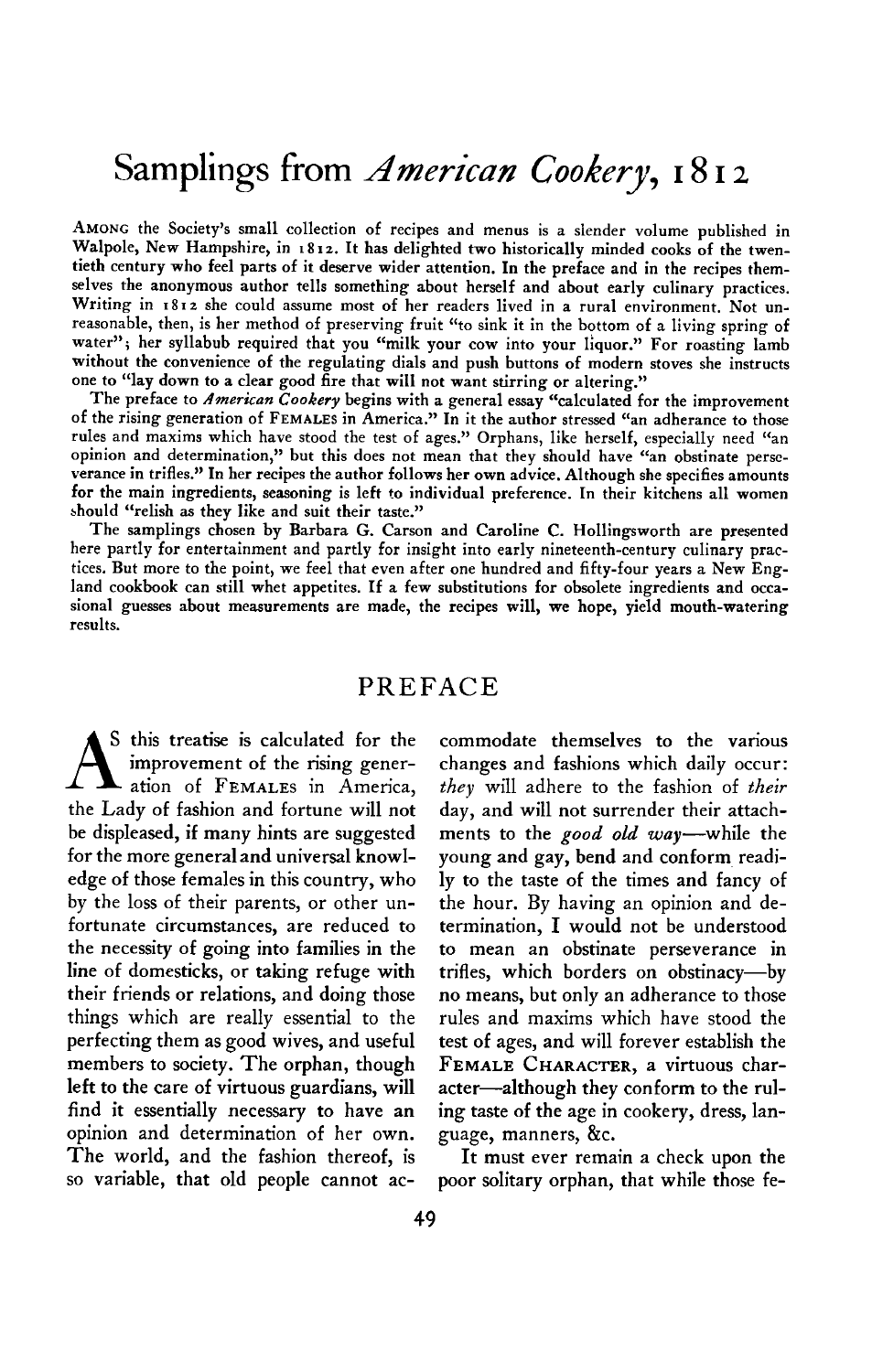# **Samplings from** *American Cookery***, 1812**

**AMONG the Society's small collection of recipes and menus is a slender volume published in**  Walpole, New Hampshire, in 1812. It has delighted two historically minded cooks of the twen**tieth century who feel parts of it deserve wider attention. In the preface and in the recipes themselves the anonymous author tells something about herself and about early culinary practices.**  Writing in 1812 she could assume most of her readers lived in a rural environment. Not un**reasonable, then, is her method of preserving fruit "to sink it in the bottom of a living spring of**  water"; her syllabub required that you "milk your cow into your liquor." For roasting lamb **without the convenience of the regulating dials and push buttons of modern stoves she instructs one to "lay down to a clear good fire that will not want stirring or altering."** 

The preface to *American* Cookery begins with a general essay "calculated for the improvement **of the rising generation of FEMALES in America." In it the author stressed "an adherance to those**  rules and maxims which have stood the test of ages." Orphans, like herself, especially need "an<br>critical and determination." has the desired and all the delinional section of the desired and determination." opinion and determination," but this does not mean that they should have "an obstinate perse**verance in trifles." In her recipes the author follows her own advice. Although she specifies amounts for the main ingredients, seasoning is left to individual preference. In their kitchens all women should "relish as they like and suit their taste."** 

**The samplings chosen by Barbara G. Carson and Caroline C. Hollingsworth are presented here partly for entertainment and partly for insight into early nineteenth-century culinary practices. But more to the point, we feel that even after one hundred and fifty-four years a New England cookbook can still whet appetites. If a few substitutions for obsolete ingredients and occasional guesses about measurements are made, the recipes will, we hope, yield mouth-watering results.** 

# **PREFACE**

S this treatise is calculated for the **improvement** of the rising gener**ation of FEMALES in America, the Lady of fashion and fortune will not be displeased, if many hints are suggested for the more general and universal knowledge of those females in this country, who by the loss of their parents, or other unfortunate circumstances, are reduced to the necessity of going into families in the line of domesticks, or taking refuge with their friends or relations, and doing those things which are really essential to the perfecting them as good wives, and useful members to society. The orphan, though left to the care of virtuous guardians, will find it essentially necessary to have an opinion and determination of her own. The world, and the fashion thereof, is so variable, that old people cannot ac-**

**commodate themselves to the various changes and fashions which daily occur: they will adhere to the fashion of their day, and will not surrender their attachments to the good old way-while the young and gay, bend and conform readily to the taste of the times and fancy of the hour. By having an opinion and determination, I would not be understood to mean an obstinate perseverance in trifles, which borders on obstinacy-by no means, but only an adherance to those rules and maxims which have stood the test of ages, and will forever establish the FEMALE CHARACTER, a virtuous char**acter-although they conform to the rul**ing taste of the age in cookery, dress, language, manners, &c.** 

**It must ever remain a check upon the poor solitary orphan, that while those fe-**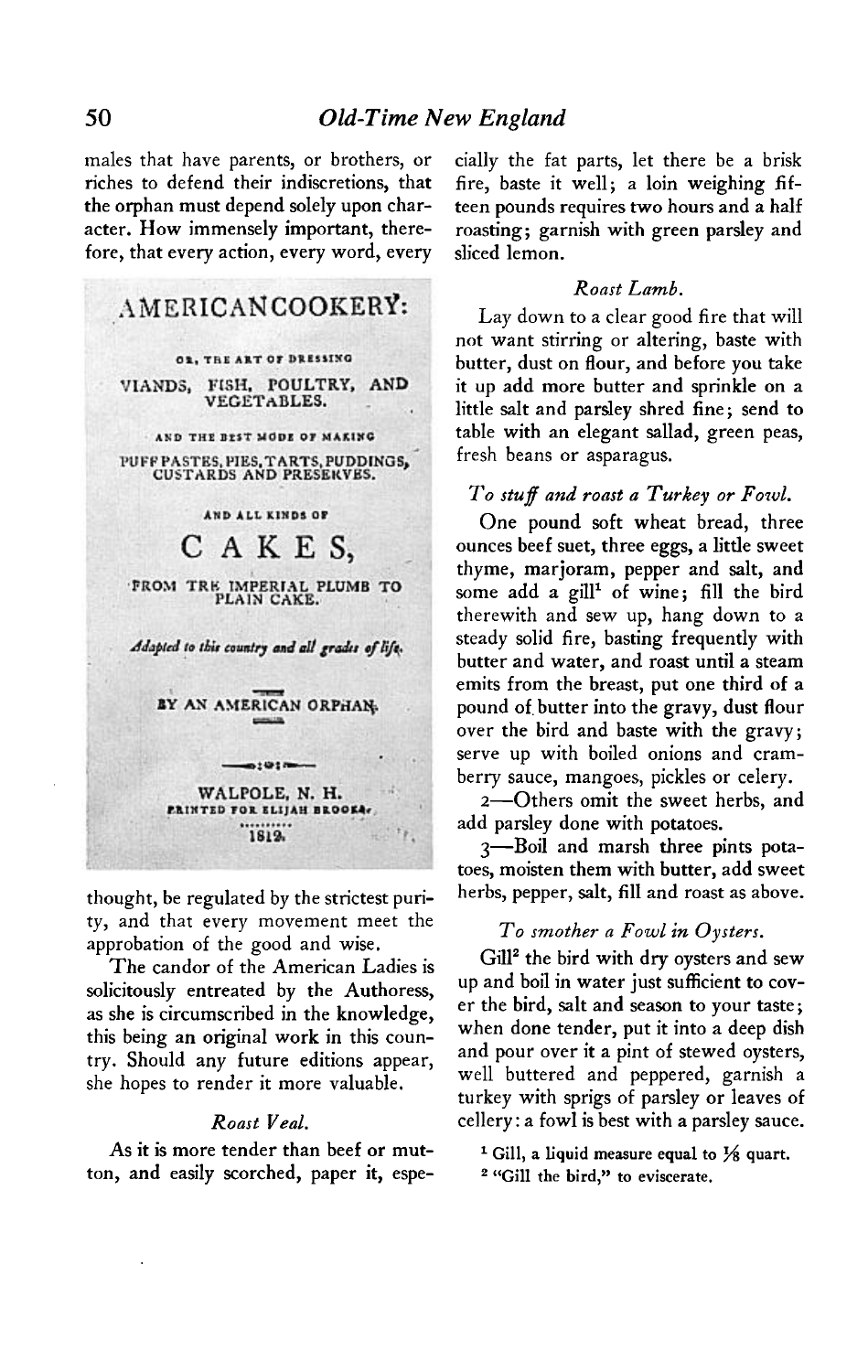**males that have parents, or brothers, or riches to defend their indiscretions, that the orphan must depend solely upon character. How immensely important, therefore, that every action, every word, every** 



**thought, be regulated by the strictest purity, and that every movement meet the approbation of the good and wise.** 

**The candor of the American Ladies is solicitously entreated by the Authoress, as she is circumscribed in the knowledge, this being an original work in this country. Should any future editions appear, she hopes to render it more valuable.** 

# **Roast Veal.**

**As it is more tender than beef or mutton, and easily scorched, paper it, espe-** **cially the fat parts, let there be a brisk fire, baste it well; a loin weighing fifteen pounds requires two hours and a half roasting; garnish with green parsley and sliced lemon.** 

#### **Roast Lamb.**

**Lay down to a clear good fire that will not want stirring or altering, baste with butter, dust on flour, and before you take it up add more butter and sprinkle on a little salt and parsley shred fine; send to table with an elegant sallad, green peas, fresh beans or asparagus.** 

# **To stuff and roast a Turkey or Fowl.**

**One pound soft wheat bread, three ounces beef suet, three eggs, a little sweet thyme, marjoram, pepper and salt, and**  some add a gill<sup>1</sup> of wine; fill the bird **therewith and sew up, hang down to a steady solid fire, basting frequently with butter and water, and roast until a steam emits from the breast, put one third of a pound of, butter into the gravy, dust flour over the bird and baste with the gravy; serve up with boiled onions and cramberry sauce, mangoes, pickles or celery.** 

**Z-Others omit the sweet herbs, and add parsley done with potatoes.** 

**S-Boil and marsh three pints potatoes, moisten them with butter, add sweet herbs, pepper, salt, fill and roast as above.** 

# **To smother a Fowl in Oysters.**

**Gill' the bird with dry oysters and sew up and boil in water just sufficient to cover the bird, salt and season to your taste; when done tender, put it into a deep dish and pour over it a pint of stewed oysters, well buttered and peppered, garnish a turkey with sprigs of parsley or leaves of cellery : a fowl is best with a parsley sauce.** 

 $1$  Gill, a liquid measure equal to  $\frac{1}{8}$  quart.

**\* "Gill the bird," to eviscerate.**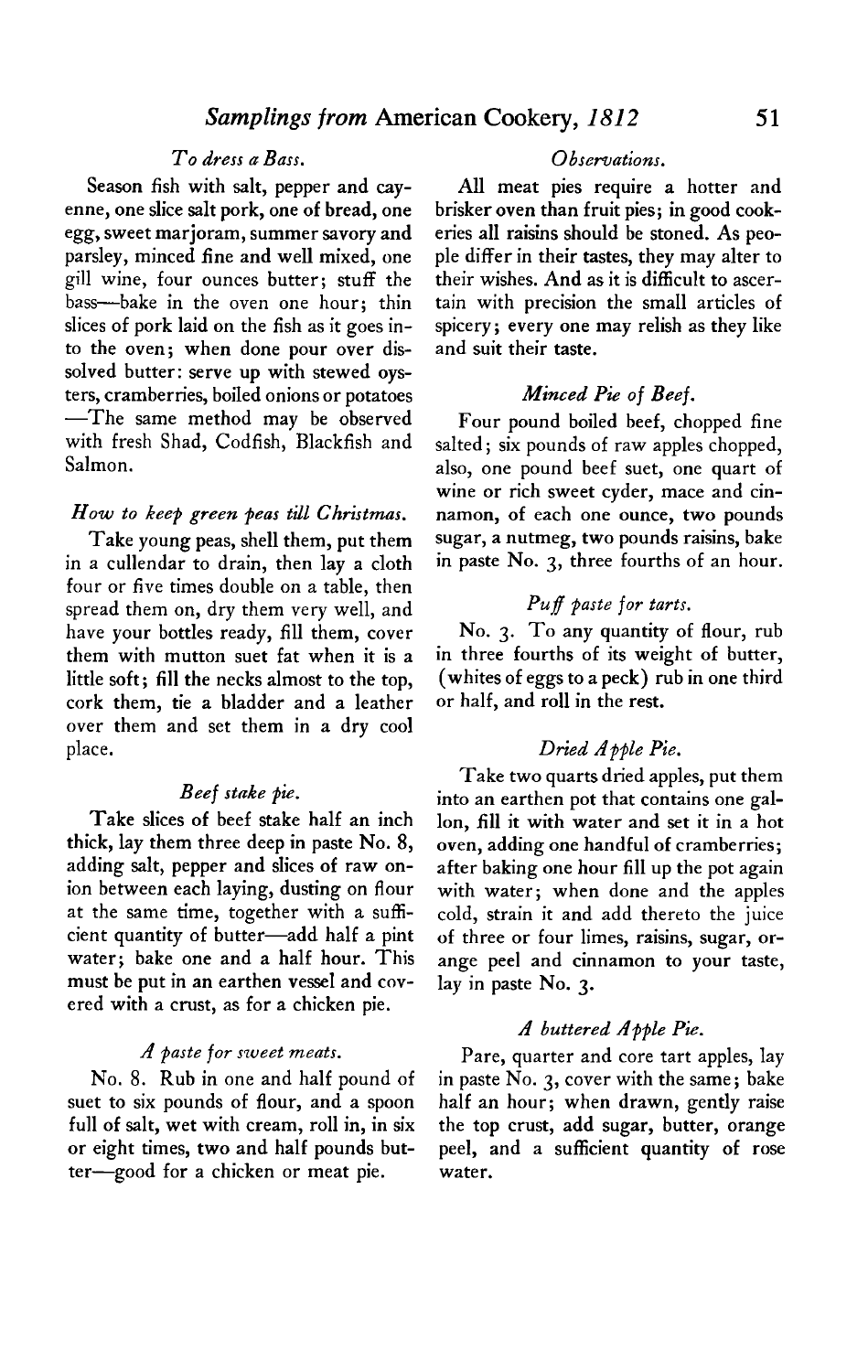# **To dress a Bass. Observations.**

**Season fish with salt, pepper and cayenne, one slice salt pork, one of bread, one egg, sweet marjoram, summer savory and parsley, minced fine and well mixed, one gill wine, four ounces butter; stuff the bass-bake in the oven one hour; thin slices of pork laid on the fish as it goes into the oven; when done pour over dissolved butter: serve up with stewed oysters, cramberries, boiled onions or potatoes -The same method may be observed with fresh Shad, Codfish, Blackfish and Salmon.** 

#### **How to keep green peas till Christmas.**

**Take young peas, shell them, put them in a cullendar to drain, then lay a cloth four or five times double on a table, then spread them on, dry them very well, and have your bottles ready, fill them, cover them with mutton suet fat when it is a little soft; fill the necks almost to the top, cork them, tie a bladder and a leather over them and set them in a dry cool place.** 

#### **Beef stake pie.**

**Take slices of beef stake half an inch thick, lay them three deep in paste No. 8, adding salt, pepper and slices of raw onion between each laying, dusting on flour at the same time, together with a sufficient quantity of butter-add half a pint water; bake one and a half hour. This must be put in an earthen vessel and covered with a crust, as for a chicken pie.** 

#### **A paste for sweet meats.**

**No. 8. Rub in one and half pound of suet to six pounds of flour, and a spoon full of salt, wet with cream, roll in, in six or eight times, two and half pounds butter-good for a chicken or meat pie.** 

**All meat pies require a hotter and brisker oven than fruit pies; in good cookeries all raisins should be stoned. As people differ in their tastes, they may alter to their wishes. And as it is difficult to ascertain with precision the small articles of spicery; every one may relish as they like and suit their taste.** 

# **Minced Pie of Beef.**

**Four pound boiled beef, chopped fine salted; six pounds of raw apples chopped, also, one pound beef suet, one quart of wine or rich sweet cyder, mace and cinnamon, of each one ounce, two pounds sugar, a nutmeg, two pounds raisins, bake in paste No. 3, three fourths of an hour.** 

### **Puf paste for tarts.**

**No. 3. To any quantity of flour, rub in three fourths of its weight of butter, (whites of eggs to a peck) rub in one third or half, and roll in the rest.** 

#### **Dried Apple Pie.**

**Take two quarts dried apples, put them into an earthen pot that contains one gallon, fill it with water and set it in a hot oven, adding one handful of cramberries; after baking one hour fill up the pot again with water; when done and the apples cold, strain it and add thereto the juice of three or four limes, raisins, sugar, orange peel and cinnamon to your taste, lay in paste No. 3.** 

#### **A buttered Apple Pie.**

**Pare, quarter and core tart apples, lay in paste No. 3, cover with the same; bake half an hour; when drawn, gently raise the top crust, add sugar, butter, orange peel, and a sufficient quantity of rose water.**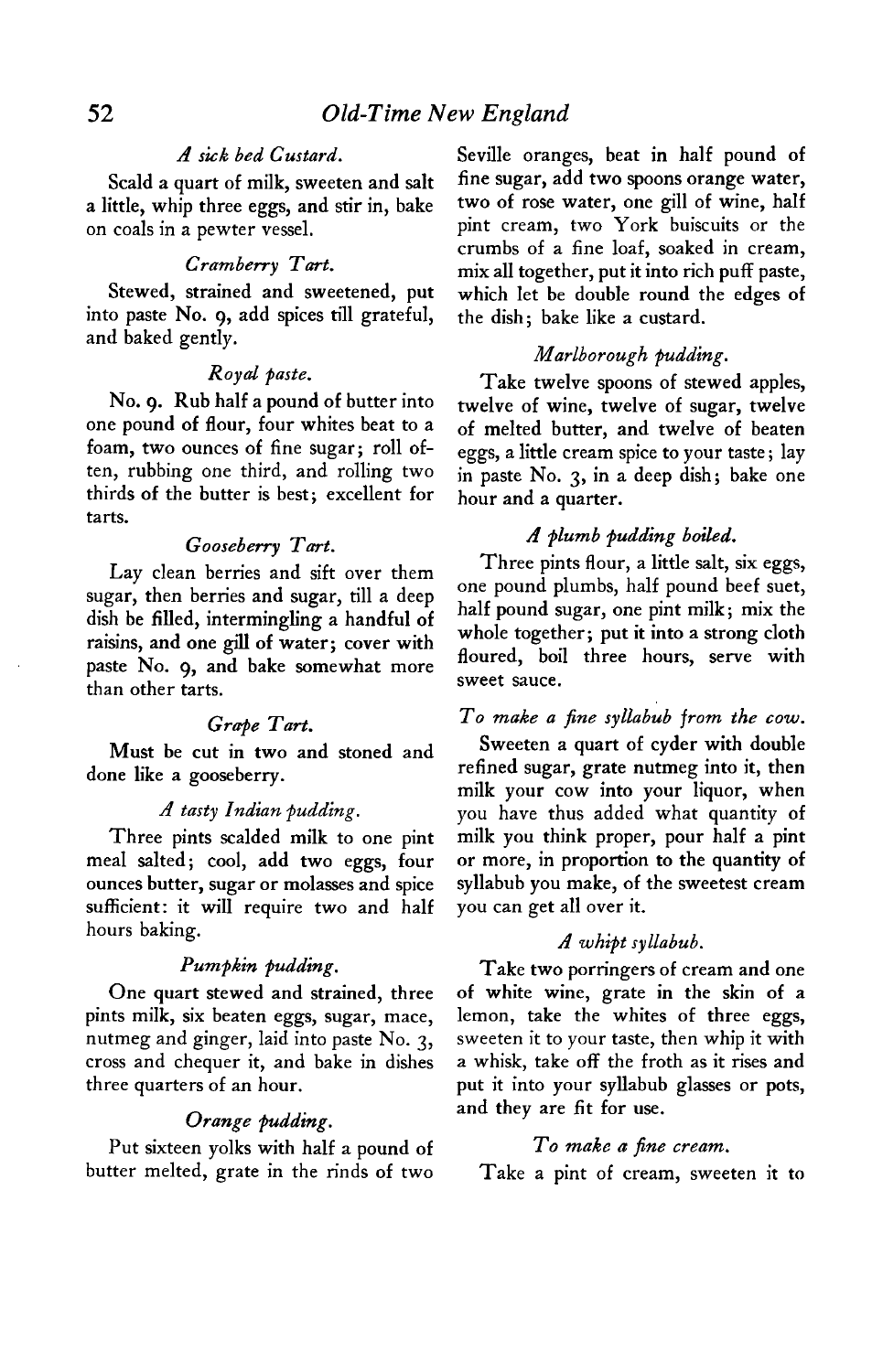# **A sick bed Custard.**

**Scald a quart of milk, sweeten and salt a little, whip three eggs, and stir in, bake on coals in a pewter vessel.** 

#### **Cramberry Tart.**

**Stewed, strained and sweetened, put into paste No. 9, add spices till grateful, and baked gently.** 

### **Royal paste.**

**No. 9. Rub half a pound of butter into one pound of flour, four whites beat to a foam, two ounces of fine sugar; roll often, rubbing one third, and rolling two thirds of the butter is best; excellent for tarts.** 

#### **Gooseberry Tart.**

**Lay clean berries and sift over them sugar, then berries and sugar, till a deep dish be filled, intermingling a handful of raisins, and one gill of water; cover with paste No. 9, and bake somewhat more than other tarts.** 

#### Grape Tart.

**Must be cut in two and stoned and done like a gooseberry.** 

#### **A tasty Indian pudding.**

**Three pints scalded milk to one pint meal salted; cool, add two eggs, four ounces butter, sugar or molasses and spice sufficient: it will require two and half hours baking.** 

#### **Pumpkin pudding.**

**One quart stewed and strained, three pints milk, six beaten eggs, sugar, mace, nutmeg and ginger, laid into paste No. 3, cross and chequer it, and bake in dishes three quarters of an hour.** 

#### Orange pudding.

Put sixteen yolks with half a pound of To make a fine cream. **butter melted, grate in the rinds of two Take a pint of cream, sweeten it to** 

**Seville oranges, beat in half pound of fine sugar, add two spoons orange water, two of rose water, one gill of wine, half pint cream, two York buiscuits or the crumbs of a fine loaf, soaked in cream, mix all together, put it into rich puff paste, which let be double round the edges of the dish; bake like a custard.** 

#### **Marlborough** pudding.

**Take twelve spoons of stewed apples, twelve of wine, twelve of sugar, twelve of melted butter, and twelve of beaten eggs, a little cream spice to your taste ; lay in paste No. 3, in a deep dish; bake one hour and a quarter.** 

#### **A plumb pudding boibd.**

**Three pints flour, a little salt, six eggs, one pound plumbs, half pound beef suet, half pound sugar, one pint milk; mix the whole together; put it into a strong cloth floured, boil three hours, serve with sweet sauce.** 

# **To make a fine syllabub from the cow.**

**Sweeten a quart of cyder with double refined sugar, grate nutmeg into it, then milk your cow into your liquor, when you have thus added what quantity of milk you think proper, pour half a pint or more, in proportion to the quantity of syllabub you make, of the sweetest cream you can get all over it.** 

#### **A whipt syllabub.**

**Take two porringers of cream and one of white wine, grate in the skin of a lemon, take the whites of three eggs, sweeten it to your taste, then whip it with a whisk, take off the froth as it rises and put it into your syllabub glasses or pots, and they are fit for use.**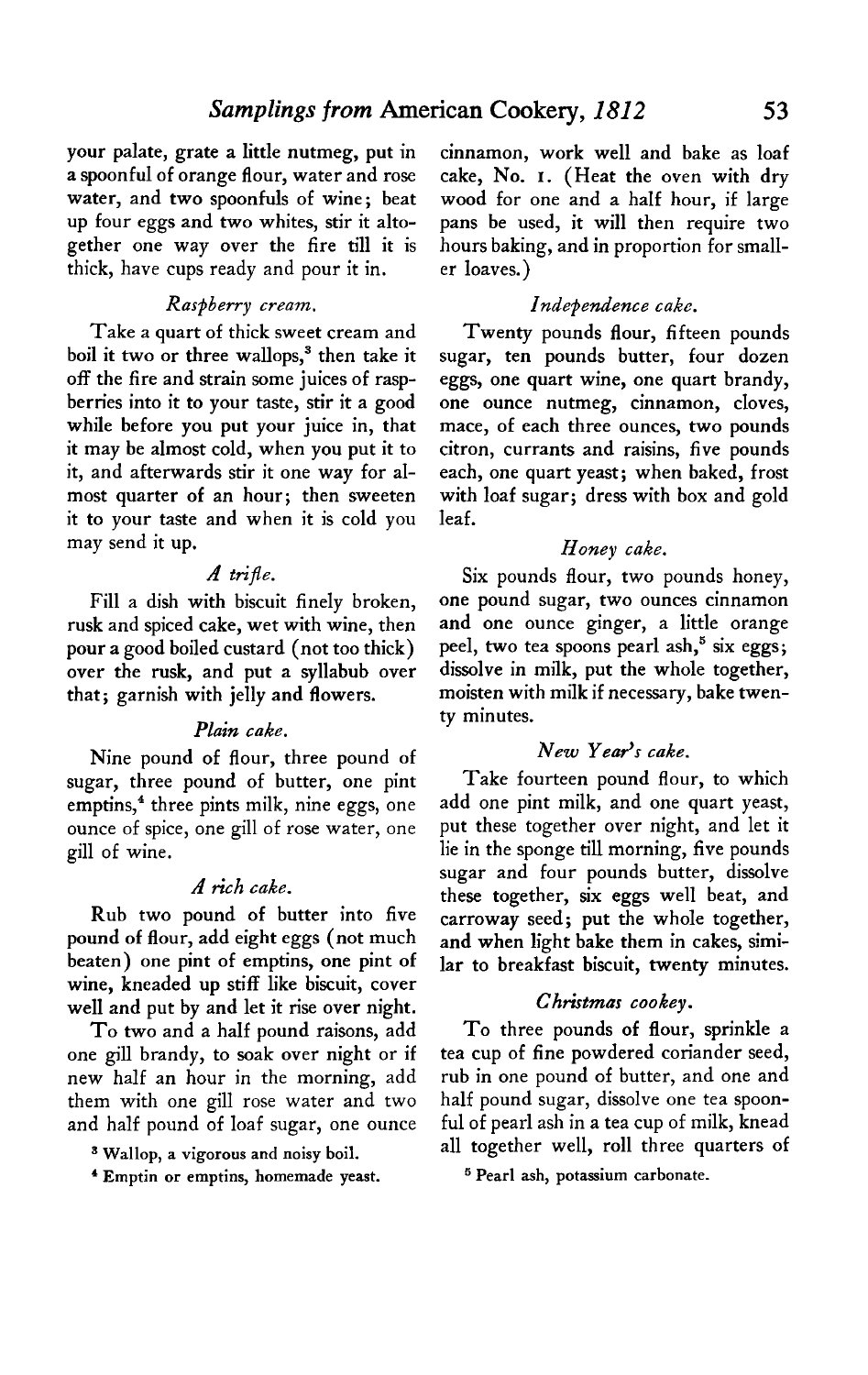**your palate, grate a little nutmeg, put in a spoonful of orange flour, water and rose water, and two spoonfuls of wine; beat up four eggs and two whites, stir it altogether one way over the fire till it is thick, have cups ready and pour it in.** 

# **Raspberry cream.**

**Take a quart of thick sweet cream and boil it two or three wallops,3 then take it off the fire and strain some juices of raspberries into it to your taste, stir it a good while before you put your juice in, that it may be almost cold, when you put it to it, and afterwards stir it one way for almost quarter of an hour; then sweeten it to your taste and when it is cold you may send it up.** 

#### **A trifle.**

**Fill a dish with biscuit finely broken, rusk and spiced cake, wet with wine, then pour a good boiled custard (not too thick) over the rusk, and put a syllabub over that; garnish with jelly and flowers.** 

#### **Plain cake.**

**Nine pound of flour, three pound of sugar, three pound of butter, one pint**  emptins,<sup>4</sup> three pints milk, nine eggs, one **ounce of spice, one gill of rose water, one gill of wine.** 

#### **A rich cake.**

**Rub two pound of butter into five pound of flour, add eight eggs (not much beaten) one pint of emptins, one pint of wine, kneaded up stiff like biscuit, cover well and put by and let it rise over night.** 

**To two and a half pound raisons, add one gill brandy, to soak over night or if new half an hour in the morning, add them with one gill rose water and two and half pound of loaf sugar, one ounce** 

**3 Wallop, a vigorous and noisy boil.** 

**4 Emptin or emptins, homemade yeast.** 

**cinnamon, work well and bake as loaf cake, No. I. (Heat the oven with dry wood for one and a half hour, if large pans be used, it will then require two hours baking, and in proportion for smaller loaves.)** 

# **Independence cake.**

**Twenty pounds flour, fifteen pounds sugar, ten pounds butter, four dozen eggs, one quart wine, one quart brandy, one ounce nutmeg, cinnamon, cloves, mace, of each three ounces, two pounds citron, currants and raisins, five pounds each, one quart yeast; when baked, frost with loaf sugar; dress with box and gold leaf.** 

#### **Honey cake.**

**Six pounds flour, two pounds honey, one pound sugar, two ounces cinnamon and one ounce ginger, a little orange peel, two tea spoons pearl ash,5 six eggs; dissolve in milk, put the whole together, moisten with milk if necessary, bake twenty minutes.** 

### New Year's cake.

**Take fourteen pound flour, to which add one pint milk, and one quart yeast, put these together over night, and let it lie in the sponge till morning, five pounds sugar and four pounds butter, dissolve these together, six eggs well beat, and carroway seed; put the whole together, and when light bake them in cakes, similar to breakfast biscuit, twenty minutes.** 

#### **Christmas cookey.**

**To three pounds of flour, sprinkle a tea cup of fine powdered coriander seed, rub in one pound of butter, and one and half pound sugar, dissolve one tea spoonful of pearl ash in a tea cup of milk, knead all together well, roll three quarters of** 

**5 Pearl ash, potassium carbonate.**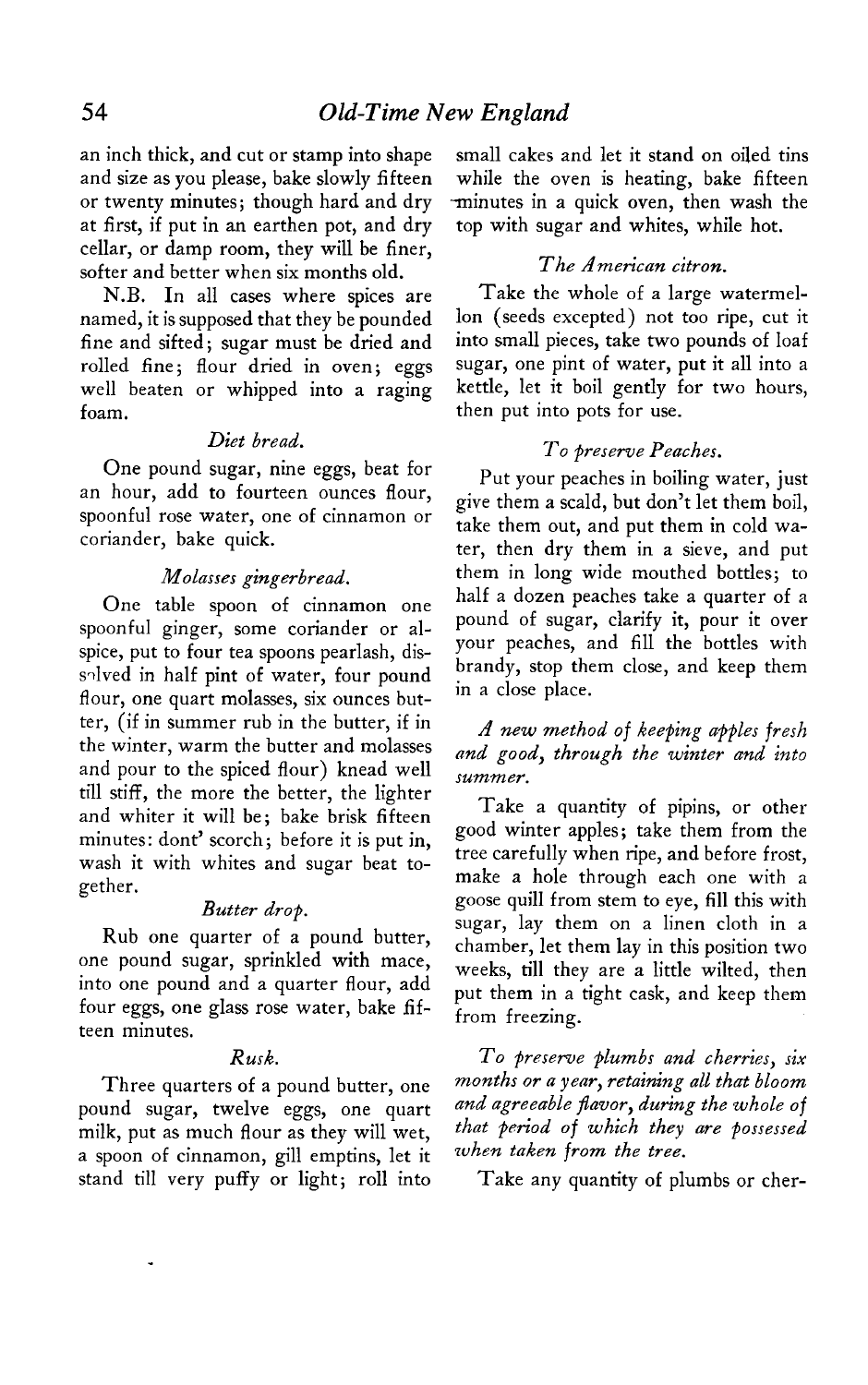**an inch thick, and cut or stamp into shape and size as you please, bake slowly fifteen or twenty minutes; though hard and dry at first, if put in an earthen pot, and dry cellar, or damp room, they will be finer, softer and better when six months old.** 

named, it is supposed that they be pounded lon (seeds excepted) not too ripe, cut it fine and sifted: sugar must be dried and linto small pieces, take two pounds of loaf fine and sifted; sugar must be dried and **rolled fine; flour dried in oven; eggs sugar, one pint of water, put it all into a well beaten or whipped into a raging kettle, let it boil gently for two hours, foam. foam. foam. foam. foam. foam. foam. foam. foam. foam. foam. f** 

# **Diet bread.**

**One pound sugar, nine eggs, beat for an hour, add to fourteen ounces flour, spoonful rose water, one of cinnamon or coriander, bake quick.** 

# **Molasses gingerbread.**

**One table spoon of cinnamon one spoonful ginger, some coriander or alspice, put to four tea spoons pearlash, dis**salved in half pint of water, four pound **flour, one quart molasses, six ounces butter, (if in summer rub in the butter, if in the winter, warm the butter and molasses and pour to the spiced flour) knead well till stiff, the more the better, the lighter and whiter it will be; bake brisk fifteen minutes: don? scorch; before it is put in, wash it with whites and sugar beat together.** 

# **Butter drop.**

**Rub one quarter of a pound butter, one pound sugar, sprinkled with mace, into one pound and a quarter flour, add four eggs, one glass rose water, bake fifteen minutes.** 

# **Rusk.**

**Three quarters of a pound butter, one pound sugar, twelve eggs, one quart milk, put as much flour as they will wet, a spoon of cinnamon, gill emptins, let it stand till very puffy or light; roll into** 

**small cakes and let it stand on oiled tins while the oven is heating, bake fifteen .minutes in a quick oven, then wash the top with sugar and whites, while hot.** 

# The American citron.

**N.B. In all cases where spices are Take the whole of a large watermel-**

# **To preserve Peaches.**

**Put your peaches in boiling water, just give them a scald, but don't let them boil, take them out, and put them in cold water, then dry them in a sieve, and put them in long wide mouthed bottles; to half a dozen peaches take a quarter of a pound of sugar, clarify it, pour it over your peaches, and fill the bottles with brandy, stop them close, and keep them in a close place.** 

**A new method of keeping apples fresh and good, through the winter and into summer.** 

**Take a quantity of pipins, or other good winter apples; take them from the tree carefully when ripe, and before frost, make a hole through each one with a goose quill from stem to eye, fill this with sugar, lay them on a linen cloth in a chamber, let them lay in this position two weeks, till they are a little wilted, then put them in a tight cask, and keep them from freezing.** 

**To preserve plumbs and cherries, six months or a year, retaining all that bloom and agreeable fiavor, during the whole of that period of which they are possessed when taken from the tree.** 

**Take any quantity of plumbs or cher-**